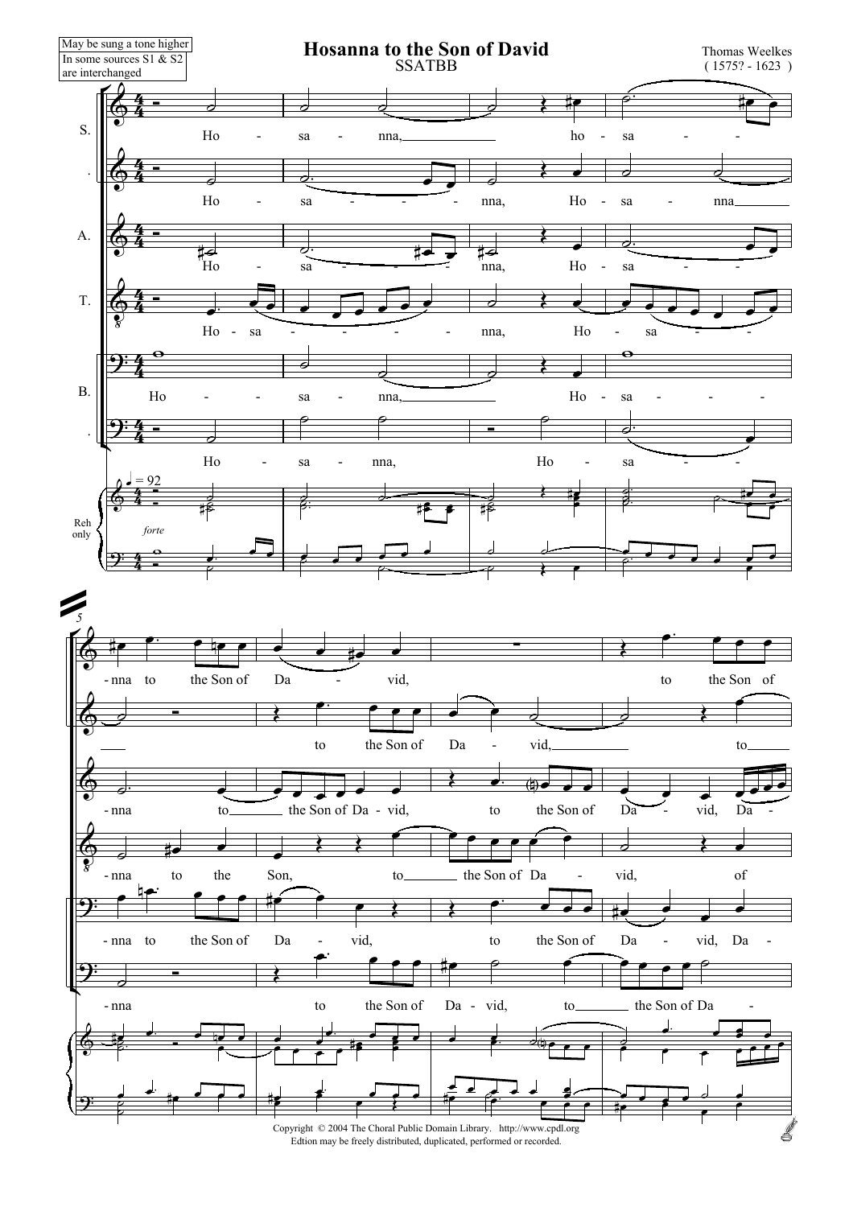

Edtion may be freely distributed, duplicated, performed or recorded.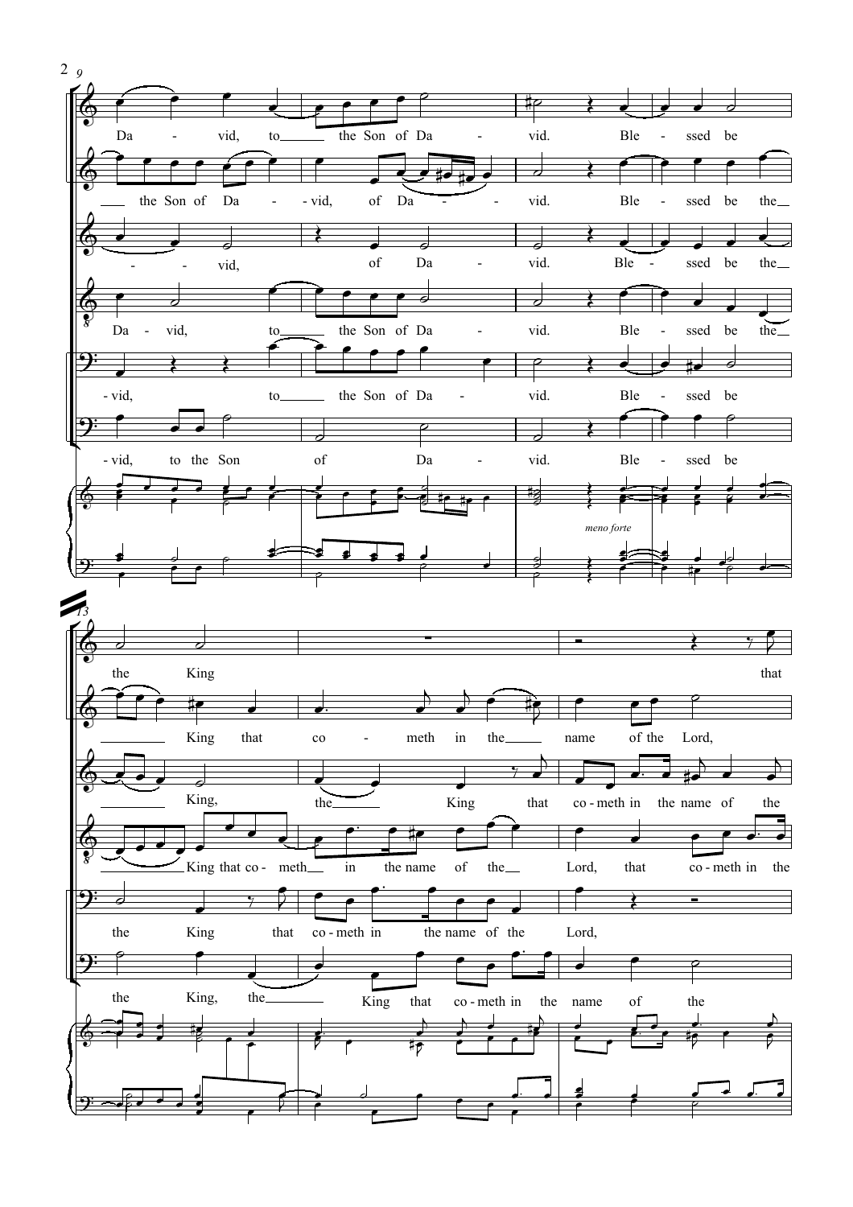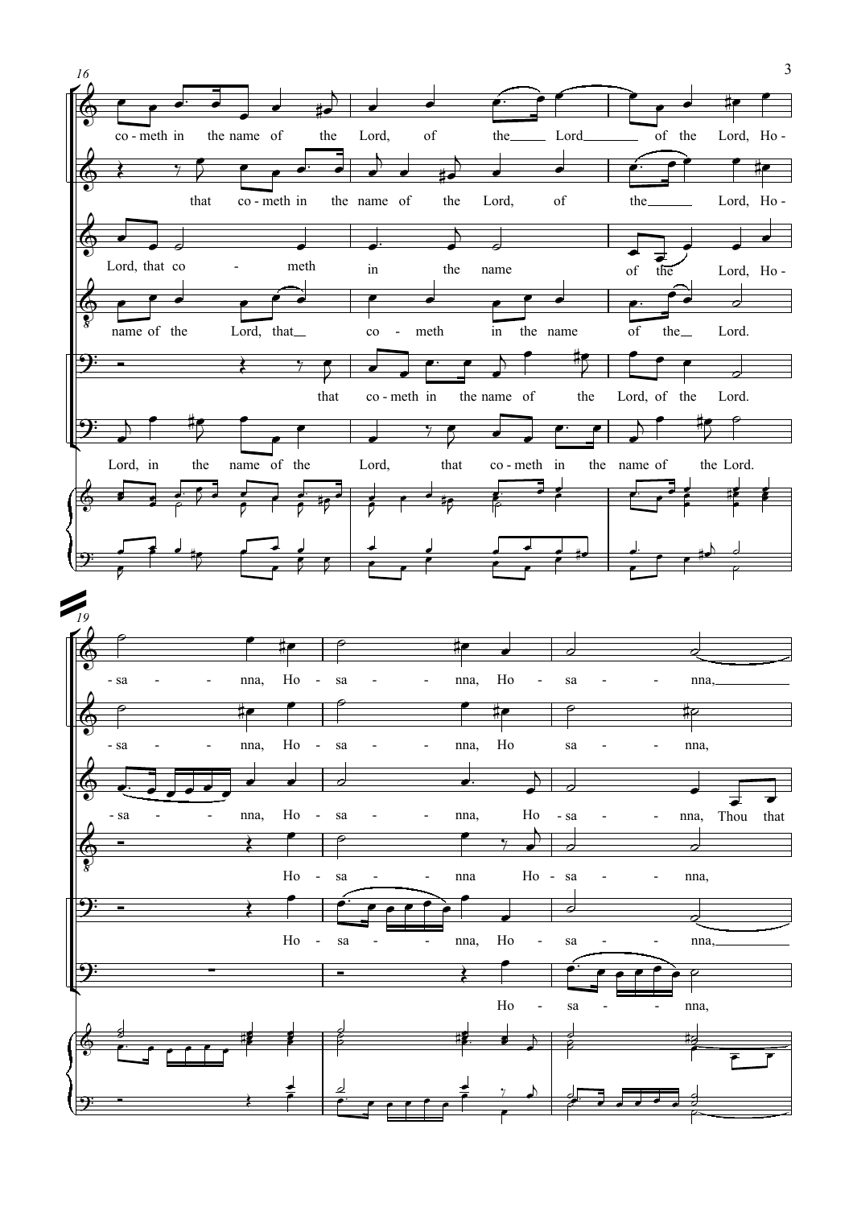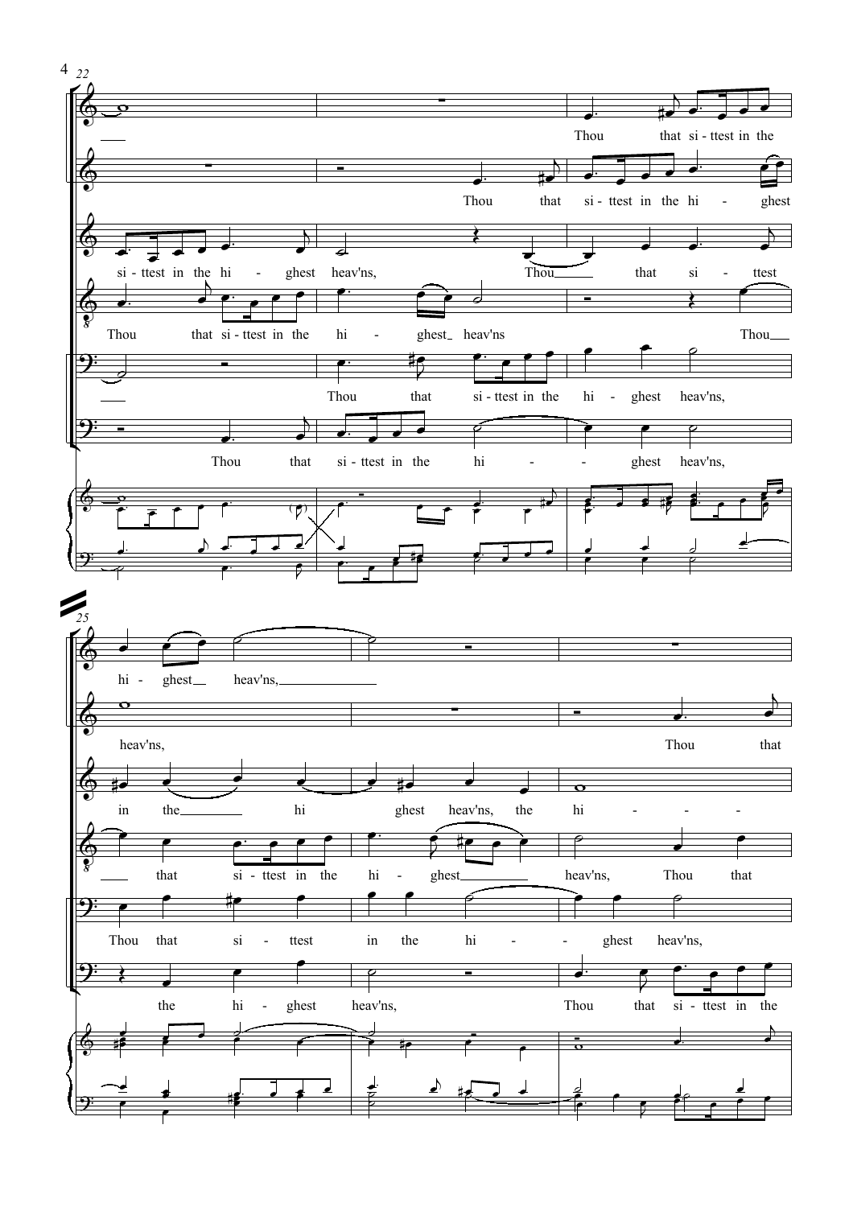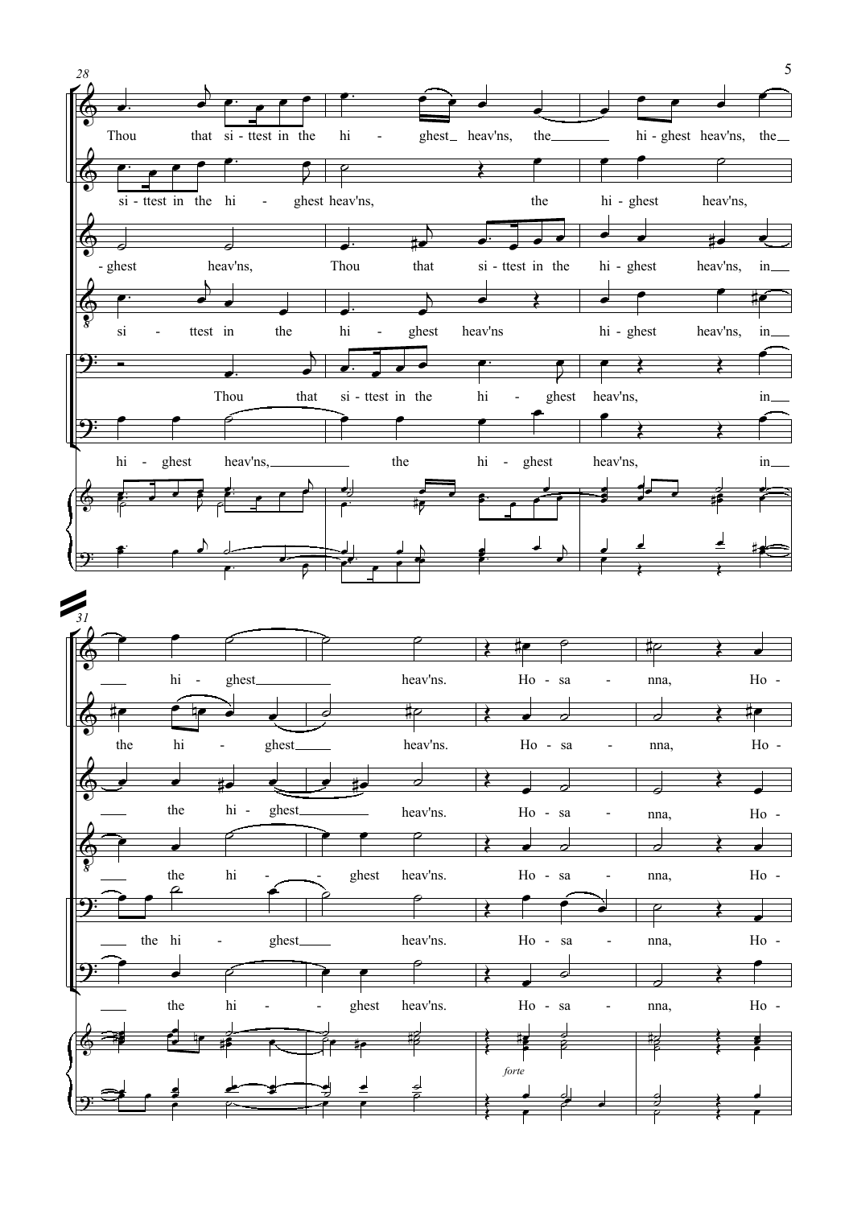